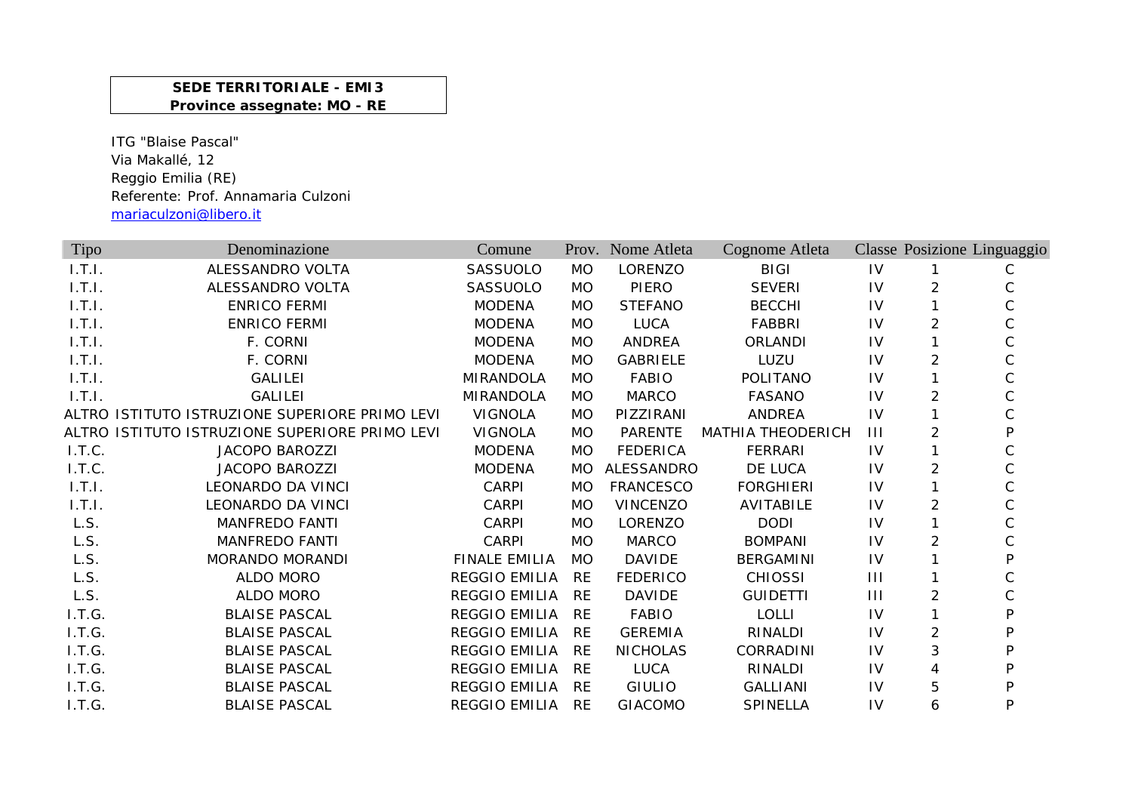## **SEDE TERRITORIALE - EMI3 Province assegnate: MO - RE**

ITG "Blaise Pascal" Via Makallé, 12 Reggio Emilia (RE) Referente: Prof. Annamaria Culzoni mariaculzoni@libero.it

| Tipo   | Denominazione                                  | Comune               |           | Prov. Nome Atleta | Cognome Atleta           |                |                | Classe Posizione Linguaggio |
|--------|------------------------------------------------|----------------------|-----------|-------------------|--------------------------|----------------|----------------|-----------------------------|
| 1.7.1. | ALESSANDRO VOLTA                               | SASSUOLO             | <b>MO</b> | LORENZO           | <b>BIGI</b>              | IV             | 1              | C                           |
| 1.T.1. | ALESSANDRO VOLTA                               | SASSUOLO             | <b>MO</b> | PIERO             | <b>SEVERI</b>            | IV             | 2              |                             |
| 1.T.1. | <b>ENRICO FERMI</b>                            | <b>MODENA</b>        | <b>MO</b> | <b>STEFANO</b>    | <b>BECCHI</b>            | IV             |                |                             |
| 1.T.1. | <b>ENRICO FERMI</b>                            | <b>MODENA</b>        | <b>MO</b> | <b>LUCA</b>       | <b>FABBRI</b>            | IV             | 2              |                             |
| 1.T.1. | F. CORNI                                       | <b>MODENA</b>        | MO.       | <b>ANDREA</b>     | ORLANDI                  | 1V             |                |                             |
| 1.T.I. | F. CORNI                                       | <b>MODENA</b>        | <b>MO</b> | <b>GABRIELE</b>   | LUZU                     | IV             | $\overline{2}$ |                             |
| 1.T.1. | <b>GALILEI</b>                                 | <b>MIRANDOLA</b>     | <b>MO</b> | <b>FABIO</b>      | POLITANO                 | IV             |                |                             |
| 1.T.1. | <b>GALILEI</b>                                 | <b>MIRANDOLA</b>     | <b>MO</b> | <b>MARCO</b>      | <b>FASANO</b>            | IV             | 2              |                             |
|        | ALTRO ISTITUTO ISTRUZIONE SUPERIORE PRIMO LEVI | <b>VIGNOLA</b>       | MO.       | PIZZIRANI         | <b>ANDREA</b>            | IV             | 1              |                             |
|        | ALTRO ISTITUTO ISTRUZIONE SUPERIORE PRIMO LEVI | <b>VIGNOLA</b>       | MO.       | <b>PARENTE</b>    | <b>MATHIA THEODERICH</b> | $\mathbf{III}$ | 2              | D                           |
| I.T.C. | <b>JACOPO BAROZZI</b>                          | <b>MODENA</b>        | MO.       | <b>FEDERICA</b>   | <b>FERRARI</b>           | IV             | 1.             |                             |
| I.T.C. | <b>JACOPO BAROZZI</b>                          | <b>MODENA</b>        | <b>MO</b> | ALESSANDRO        | DE LUCA                  | IV             | $\overline{2}$ |                             |
| 1.7.1. | LEONARDO DA VINCI                              | CARPI                | <b>MO</b> | <b>FRANCESCO</b>  | <b>FORGHIERI</b>         | IV             | 1              |                             |
| 1.T.I. | LEONARDO DA VINCI                              | <b>CARPI</b>         | <b>MO</b> | <b>VINCENZO</b>   | AVITABILE                | $\mathsf{IV}$  | $\overline{2}$ |                             |
| L.S.   | <b>MANFREDO FANTI</b>                          | <b>CARPI</b>         | <b>MO</b> | LORENZO           | <b>DODI</b>              | IV             | 1              | C                           |
| L.S.   | <b>MANFREDO FANTI</b>                          | CARPI                | <b>MO</b> | <b>MARCO</b>      | <b>BOMPANI</b>           | IV             | 2              |                             |
| L.S.   | MORANDO MORANDI                                | <b>FINALE EMILIA</b> | <b>MO</b> | <b>DAVIDE</b>     | <b>BERGAMINI</b>         | IV             |                | D                           |
| L.S.   | ALDO MORO                                      | <b>REGGIO EMILIA</b> | <b>RE</b> | <b>FEDERICO</b>   | <b>CHIOSSI</b>           | $\mathbf{III}$ |                |                             |
| L.S.   | <b>ALDO MORO</b>                               | <b>REGGIO EMILIA</b> | <b>RE</b> | <b>DAVIDE</b>     | <b>GUIDETTI</b>          | $\mathbf{III}$ | 2              |                             |
| I.T.G. | <b>BLAISE PASCAL</b>                           | <b>REGGIO EMILIA</b> | <b>RE</b> | <b>FABIO</b>      | <b>LOLLI</b>             | IV             |                |                             |
| I.T.G. | <b>BLAISE PASCAL</b>                           | <b>REGGIO EMILIA</b> | <b>RE</b> | <b>GEREMIA</b>    | RINALDI                  | IV             | $\overline{2}$ |                             |
| I.T.G. | <b>BLAISE PASCAL</b>                           | <b>REGGIO EMILIA</b> | <b>RE</b> | <b>NICHOLAS</b>   | CORRADINI                | IV             | 3              | D                           |
| I.T.G. | <b>BLAISE PASCAL</b>                           | <b>REGGIO EMILIA</b> | <b>RE</b> | <b>LUCA</b>       | RINALDI                  | IV             | 4              |                             |
| I.T.G. | <b>BLAISE PASCAL</b>                           | <b>REGGIO EMILIA</b> | <b>RE</b> | <b>GIULIO</b>     | <b>GALLIANI</b>          | 1V             | 5              | D                           |
| I.T.G. | <b>BLAISE PASCAL</b>                           | <b>REGGIO EMILIA</b> | <b>RE</b> | <b>GIACOMO</b>    | SPINELLA                 | IV             | 6              | P                           |